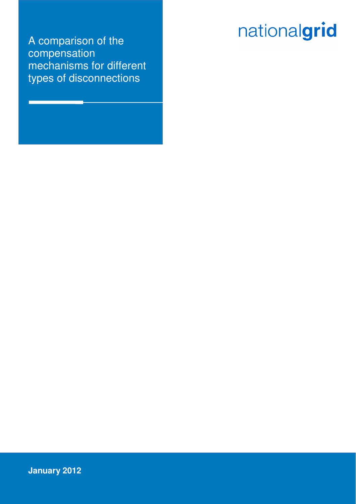# nationalgrid

A comparison of the compensation mechanisms for different types of disconnections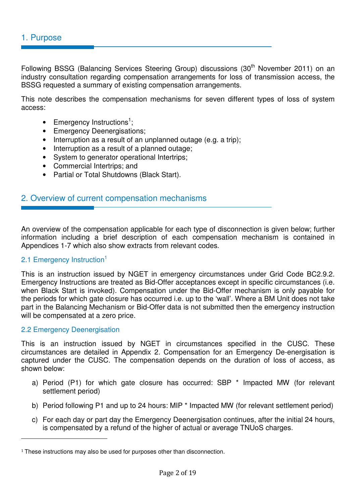Following BSSG (Balancing Services Steering Group) discussions (30<sup>th</sup> November 2011) on an industry consultation regarding compensation arrangements for loss of transmission access, the BSSG requested a summary of existing compensation arrangements.

This note describes the compensation mechanisms for seven different types of loss of system access:

- Emergency Instructions<sup>1</sup>;
- Emergency Deenergisations;
- Interruption as a result of an unplanned outage (e.g. a trip);
- Interruption as a result of a planned outage;
- System to generator operational Intertrips;
- Commercial Intertrips; and
- Partial or Total Shutdowns (Black Start).

# 2. Overview of current compensation mechanisms

An overview of the compensation applicable for each type of disconnection is given below; further information including a brief description of each compensation mechanism is contained in Appendices 1-7 which also show extracts from relevant codes.

#### 2.1 Emergency Instruction<sup>1</sup>

This is an instruction issued by NGET in emergency circumstances under Grid Code BC2.9.2. Emergency Instructions are treated as Bid-Offer acceptances except in specific circumstances (i.e. when Black Start is invoked). Compensation under the Bid-Offer mechanism is only payable for the periods for which gate closure has occurred i.e. up to the 'wall'. Where a BM Unit does not take part in the Balancing Mechanism or Bid-Offer data is not submitted then the emergency instruction will be compensated at a zero price.

#### 2.2 Emergency Deenergisation

 $\overline{a}$ 

This is an instruction issued by NGET in circumstances specified in the CUSC. These circumstances are detailed in Appendix 2. Compensation for an Emergency De-energisation is captured under the CUSC. The compensation depends on the duration of loss of access, as shown below:

- a) Period (P1) for which gate closure has occurred: SBP \* Impacted MW (for relevant settlement period)
- b) Period following P1 and up to 24 hours: MIP \* Impacted MW (for relevant settlement period)
- c) For each day or part day the Emergency Deenergisation continues, after the initial 24 hours, is compensated by a refund of the higher of actual or average TNUoS charges.

<sup>&</sup>lt;sup>1</sup> These instructions may also be used for purposes other than disconnection.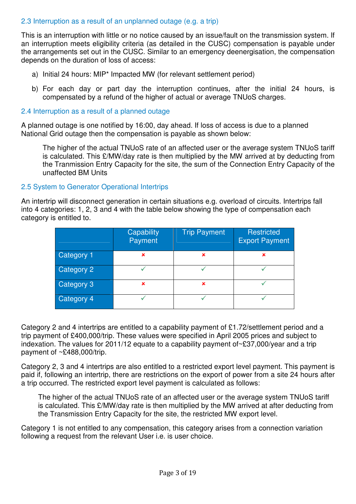## 2.3 Interruption as a result of an unplanned outage (e.g. a trip)

This is an interruption with little or no notice caused by an issue/fault on the transmission system. If an interruption meets eligibility criteria (as detailed in the CUSC) compensation is payable under the arrangements set out in the CUSC. Similar to an emergency deenergisation, the compensation depends on the duration of loss of access:

- a) Initial 24 hours: MIP\* Impacted MW (for relevant settlement period)
- b) For each day or part day the interruption continues, after the initial 24 hours, is compensated by a refund of the higher of actual or average TNUoS charges.

## 2.4 Interruption as a result of a planned outage

A planned outage is one notified by 16:00, day ahead. If loss of access is due to a planned National Grid outage then the compensation is payable as shown below:

The higher of the actual TNUoS rate of an affected user or the average system TNUoS tariff is calculated. This £/MW/day rate is then multiplied by the MW arrived at by deducting from the Tranmission Entry Capacity for the site, the sum of the Connection Entry Capacity of the unaffected BM Units

## 2.5 System to Generator Operational Intertrips

An intertrip will disconnect generation in certain situations e.g. overload of circuits. Intertrips fall into 4 categories: 1, 2, 3 and 4 with the table below showing the type of compensation each category is entitled to.

|            | Capability<br>Payment | <b>Trip Payment</b> | Restricted<br><b>Export Payment</b> |
|------------|-----------------------|---------------------|-------------------------------------|
| Category 1 | ×                     | ×                   | ×                                   |
| Category 2 |                       |                     |                                     |
| Category 3 | ×                     | ×                   |                                     |
| Category 4 |                       |                     |                                     |

Category 2 and 4 intertrips are entitled to a capability payment of £1.72/settlement period and a trip payment of £400,000/trip. These values were specified in April 2005 prices and subject to indexation. The values for 2011/12 equate to a capability payment of~£37,000/year and a trip payment of ~£488,000/trip.

Category 2, 3 and 4 intertrips are also entitled to a restricted export level payment. This payment is paid if, following an intertrip, there are restrictions on the export of power from a site 24 hours after a trip occurred. The restricted export level payment is calculated as follows:

The higher of the actual TNUoS rate of an affected user or the average system TNUoS tariff is calculated. This £/MW/day rate is then multiplied by the MW arrived at after deducting from the Transmission Entry Capacity for the site, the restricted MW export level.

Category 1 is not entitled to any compensation, this category arises from a connection variation following a request from the relevant User i.e. is user choice.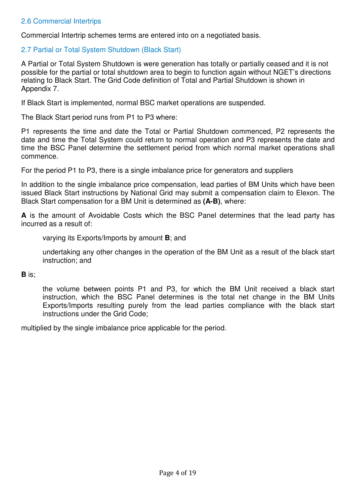# 2.6 Commercial Intertrips

Commercial Intertrip schemes terms are entered into on a negotiated basis.

## 2.7 Partial or Total System Shutdown (Black Start)

A Partial or Total System Shutdown is were generation has totally or partially ceased and it is not possible for the partial or total shutdown area to begin to function again without NGET's directions relating to Black Start. The Grid Code definition of Total and Partial Shutdown is shown in Appendix 7.

If Black Start is implemented, normal BSC market operations are suspended.

The Black Start period runs from P1 to P3 where:

P1 represents the time and date the Total or Partial Shutdown commenced, P2 represents the date and time the Total System could return to normal operation and P3 represents the date and time the BSC Panel determine the settlement period from which normal market operations shall commence.

For the period P1 to P3, there is a single imbalance price for generators and suppliers

In addition to the single imbalance price compensation, lead parties of BM Units which have been issued Black Start instructions by National Grid may submit a compensation claim to Elexon. The Black Start compensation for a BM Unit is determined as **(A-B)**, where:

**A** is the amount of Avoidable Costs which the BSC Panel determines that the lead party has incurred as a result of:

varying its Exports/Imports by amount **B**; and

undertaking any other changes in the operation of the BM Unit as a result of the black start instruction; and

**B** is;

the volume between points P1 and P3, for which the BM Unit received a black start instruction, which the BSC Panel determines is the total net change in the BM Units Exports/Imports resulting purely from the lead parties compliance with the black start instructions under the Grid Code;

multiplied by the single imbalance price applicable for the period.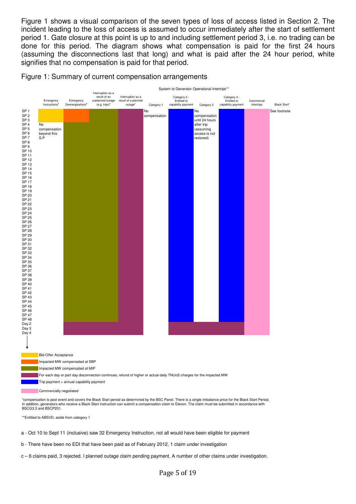Figure 1 shows a visual comparison of the seven types of loss of access listed in Section 2. The incident leading to the loss of access is assumed to occur immediately after the start of settlement period 1. Gate closure at this point is up to and including settlement period 3, i.e. no trading can be done for this period. The diagram shows what compensation is paid for the first 24 hours (assuming the disconnections last that long) and what is paid after the 24 hour period, white signifies that no compensation is paid for that period.

#### Figure 1: Summary of current compensation arrangements



\*\*Entitled to ABSVD, aside from category 1

a - Oct 10 to Sept 11 (inclusive) saw 32 Emergency Instruction, not all would have been eligible for payment

b - There have been no EDI that have been paid as of February 2012, 1 claim under investigation

c – 6 claims paid, 3 rejected. I planned outage claim pending payment. A number of other claims under investigation.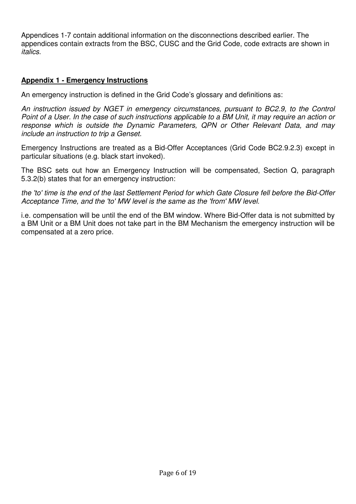Appendices 1-7 contain additional information on the disconnections described earlier. The appendices contain extracts from the BSC, CUSC and the Grid Code, code extracts are shown in italics.

# **Appendix 1 - Emergency Instructions**

An emergency instruction is defined in the Grid Code's glossary and definitions as:

An instruction issued by NGET in emergency circumstances, pursuant to BC2.9, to the Control Point of a User. In the case of such instructions applicable to a BM Unit, it may require an action or response which is outside the Dynamic Parameters, QPN or Other Relevant Data, and may include an instruction to trip a Genset.

Emergency Instructions are treated as a Bid-Offer Acceptances (Grid Code BC2.9.2.3) except in particular situations (e.g. black start invoked).

The BSC sets out how an Emergency Instruction will be compensated, Section Q, paragraph 5.3.2(b) states that for an emergency instruction:

the 'to' time is the end of the last Settlement Period for which Gate Closure fell before the Bid-Offer Acceptance Time, and the 'to' MW level is the same as the 'from' MW level.

i.e. compensation will be until the end of the BM window. Where Bid-Offer data is not submitted by a BM Unit or a BM Unit does not take part in the BM Mechanism the emergency instruction will be compensated at a zero price.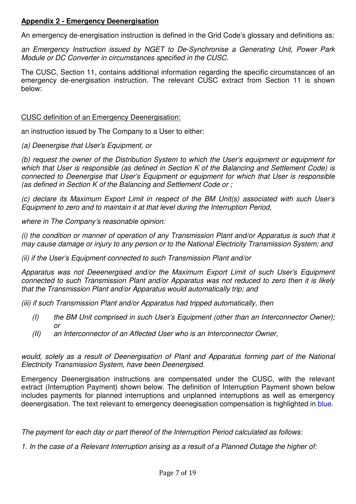# **Appendix 2 - Emergency Deenergisation**

An emergency de-energisation instruction is defined in the Grid Code's glossary and definitions as:

an Emergency Instruction issued by NGET to De-Synchronise a Generating Unit, Power Park Module or DC Converter in circumstances specified in the CUSC.

The CUSC, Section 11, contains additional information regarding the specific circumstances of an emergency de-energisation instruction. The relevant CUSC extract from Section 11 is shown below:

CUSC definition of an Emergency Deenergisation:

an instruction issued by The Company to a User to either:

(a) Deenergise that User's Equipment, or

(b) request the owner of the Distribution System to which the User's equipment or equipment for which that User is responsible (as defined in Section K of the Balancing and Settlement Code) is connected to Deenergise that User's Equipment or equipment for which that User is responsible (as defined in Section K of the Balancing and Settlement Code or ;

(c) declare its Maximum Export Limit in respect of the BM Unit(s) associated with such User's Equipment to zero and to maintain it at that level during the Interruption Period,

where in The Company's reasonable opinion:

(i) the condition or manner of operation of any Transmission Plant and/or Apparatus is such that it may cause damage or injury to any person or to the National Electricity Transmission System; and

(ii) if the User's Equipment connected to such Transmission Plant and/or

Apparatus was not Deeenergised and/or the Maximum Export Limit of such User's Equipment connected to such Transmission Plant and/or Apparatus was not reduced to zero then it is likely that the Transmission Plant and/or Apparatus would automatically trip; and

(iii) if such Transmission Plant and/or Apparatus had tripped automatically, then

- (I) the BM Unit comprised in such User's Equipment (other than an Interconnector Owner); or
- (II) an Interconnector of an Affected User who is an Interconnector Owner,

would, solely as a result of Deenergisation of Plant and Apparatus forming part of the National Electricity Transmission System, have been Deenergised.

Emergency Deenergisation instructions are compensated under the CUSC, with the relevant extract (Interruption Payment) shown below. The definition of Interruption Payment shown below includes payments for planned interruptions and unplanned interruptions as well as emergency deenergisation. The text relevant to emergency deenegisation compensation is highlighted in blue.

The payment for each day or part thereof of the Interruption Period calculated as follows:

1. In the case of a Relevant Interruption arising as a result of a Planned Outage the higher of: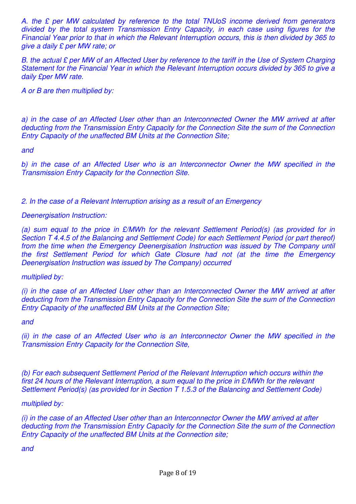A. the £ per MW calculated by reference to the total TNUoS income derived from generators divided by the total system Transmission Entry Capacity, in each case using figures for the Financial Year prior to that in which the Relevant Interruption occurs, this is then divided by 365 to give a daily £ per MW rate; or

B. the actual £ per MW of an Affected User by reference to the tariff in the Use of System Charging Statement for the Financial Year in which the Relevant Interruption occurs divided by 365 to give a daily £per MW rate.

A or B are then multiplied by:

a) in the case of an Affected User other than an Interconnected Owner the MW arrived at after deducting from the Transmission Entry Capacity for the Connection Site the sum of the Connection Entry Capacity of the unaffected BM Units at the Connection Site;

and

b) in the case of an Affected User who is an Interconnector Owner the MW specified in the Transmission Entry Capacity for the Connection Site.

2. In the case of a Relevant Interruption arising as a result of an Emergency

## Deenergisation Instruction:

(a) sum equal to the price in  $E/MWh$  for the relevant Settlement Period(s) (as provided for in Section T 4.4.5 of the Balancing and Settlement Code) for each Settlement Period (or part thereof) from the time when the Emergency Deenergisation Instruction was issued by The Company until the first Settlement Period for which Gate Closure had not (at the time the Emergency Deenergisation Instruction was issued by The Company) occurred

multiplied by:

(i) in the case of an Affected User other than an Interconnected Owner the MW arrived at after deducting from the Transmission Entry Capacity for the Connection Site the sum of the Connection Entry Capacity of the unaffected BM Units at the Connection Site;

#### and

(ii) in the case of an Affected User who is an Interconnector Owner the MW specified in the Transmission Entry Capacity for the Connection Site,

(b) For each subsequent Settlement Period of the Relevant Interruption which occurs within the first 24 hours of the Relevant Interruption, a sum equal to the price in £/MWh for the relevant Settlement Period(s) (as provided for in Section T 1.5.3 of the Balancing and Settlement Code)

#### multiplied by:

(i) in the case of an Affected User other than an Interconnector Owner the MW arrived at after deducting from the Transmission Entry Capacity for the Connection Site the sum of the Connection Entry Capacity of the unaffected BM Units at the Connection site;

and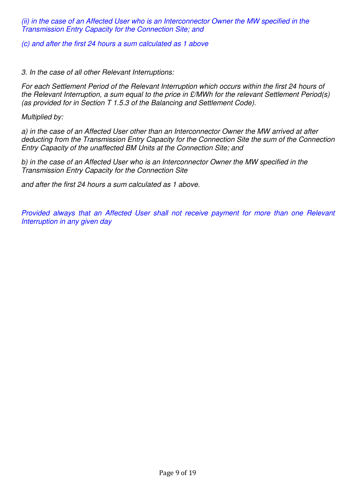(ii) in the case of an Affected User who is an Interconnector Owner the MW specified in the Transmission Entry Capacity for the Connection Site; and

(c) and after the first 24 hours a sum calculated as 1 above

3. In the case of all other Relevant Interruptions:

For each Settlement Period of the Relevant Interruption which occurs within the first 24 hours of the Relevant Interruption, a sum equal to the price in  $E/MWh$  for the relevant Settlement Period(s) (as provided for in Section T 1.5.3 of the Balancing and Settlement Code).

Multiplied by:

a) in the case of an Affected User other than an Interconnector Owner the MW arrived at after deducting from the Transmission Entry Capacity for the Connection Site the sum of the Connection Entry Capacity of the unaffected BM Units at the Connection Site; and

b) in the case of an Affected User who is an Interconnector Owner the MW specified in the Transmission Entry Capacity for the Connection Site

and after the first 24 hours a sum calculated as 1 above.

Provided always that an Affected User shall not receive payment for more than one Relevant Interruption in any given day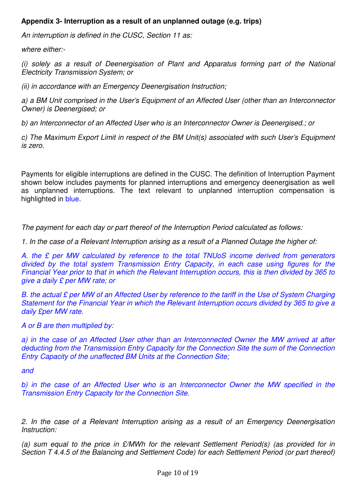# **Appendix 3- Interruption as a result of an unplanned outage (e.g. trips)**

An interruption is defined in the CUSC, Section 11 as:

where either:-

(i) solely as a result of Deenergisation of Plant and Apparatus forming part of the National Electricity Transmission System; or

(ii) in accordance with an Emergency Deenergisation Instruction;

a) a BM Unit comprised in the User's Equipment of an Affected User (other than an Interconnector Owner) is Deenergised; or

b) an Interconnector of an Affected User who is an Interconnector Owner is Deenergised.; or

c) The Maximum Export Limit in respect of the BM Unit(s) associated with such User's Equipment is zero.

Payments for eligible interruptions are defined in the CUSC. The definition of Interruption Payment shown below includes payments for planned interruptions and emergency deenergisation as well as unplanned interruptions. The text relevant to unplanned interruption compensation is highlighted in blue.

The payment for each day or part thereof of the Interruption Period calculated as follows:

1. In the case of a Relevant Interruption arising as a result of a Planned Outage the higher of:

A. the £ per MW calculated by reference to the total TNUoS income derived from generators divided by the total system Transmission Entry Capacity, in each case using figures for the Financial Year prior to that in which the Relevant Interruption occurs, this is then divided by 365 to give a daily £ per MW rate; or

B. the actual £ per MW of an Affected User by reference to the tariff in the Use of System Charging Statement for the Financial Year in which the Relevant Interruption occurs divided by 365 to give a daily £per MW rate.

A or B are then multiplied by:

a) in the case of an Affected User other than an Interconnected Owner the MW arrived at after deducting from the Transmission Entry Capacity for the Connection Site the sum of the Connection Entry Capacity of the unaffected BM Units at the Connection Site;

and

b) in the case of an Affected User who is an Interconnector Owner the MW specified in the Transmission Entry Capacity for the Connection Site.

2. In the case of a Relevant Interruption arising as a result of an Emergency Deenergisation Instruction:

(a) sum equal to the price in £/MWh for the relevant Settlement Period(s) (as provided for in Section T 4.4.5 of the Balancing and Settlement Code) for each Settlement Period (or part thereof)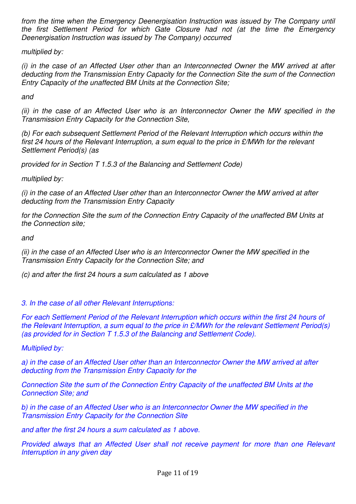from the time when the Emergency Deenergisation Instruction was issued by The Company until the first Settlement Period for which Gate Closure had not (at the time the Emergency Deenergisation Instruction was issued by The Company) occurred

multiplied by:

(i) in the case of an Affected User other than an Interconnected Owner the MW arrived at after deducting from the Transmission Entry Capacity for the Connection Site the sum of the Connection Entry Capacity of the unaffected BM Units at the Connection Site;

and

(ii) in the case of an Affected User who is an Interconnector Owner the MW specified in the Transmission Entry Capacity for the Connection Site,

(b) For each subsequent Settlement Period of the Relevant Interruption which occurs within the first 24 hours of the Relevant Interruption, a sum equal to the price in £/MWh for the relevant Settlement Period(s) (as

provided for in Section T 1.5.3 of the Balancing and Settlement Code)

multiplied by:

(i) in the case of an Affected User other than an Interconnector Owner the MW arrived at after deducting from the Transmission Entry Capacity

for the Connection Site the sum of the Connection Entry Capacity of the unaffected BM Units at the Connection site;

and

(ii) in the case of an Affected User who is an Interconnector Owner the MW specified in the Transmission Entry Capacity for the Connection Site; and

(c) and after the first 24 hours a sum calculated as 1 above

3. In the case of all other Relevant Interruptions:

For each Settlement Period of the Relevant Interruption which occurs within the first 24 hours of the Relevant Interruption, a sum equal to the price in £/MWh for the relevant Settlement Period(s) (as provided for in Section T 1.5.3 of the Balancing and Settlement Code).

Multiplied by:

a) in the case of an Affected User other than an Interconnector Owner the MW arrived at after deducting from the Transmission Entry Capacity for the

Connection Site the sum of the Connection Entry Capacity of the unaffected BM Units at the Connection Site; and

b) in the case of an Affected User who is an Interconnector Owner the MW specified in the Transmission Entry Capacity for the Connection Site

and after the first 24 hours a sum calculated as 1 above.

Provided always that an Affected User shall not receive payment for more than one Relevant Interruption in any given day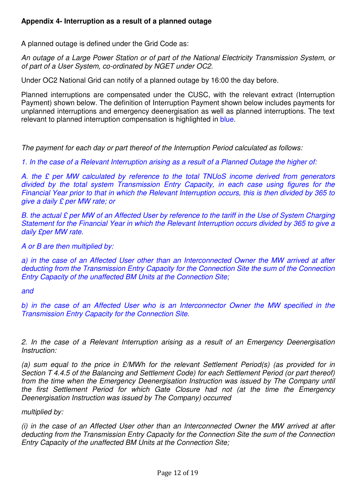A planned outage is defined under the Grid Code as:

An outage of a Large Power Station or of part of the National Electricity Transmission System, or of part of a User System, co-ordinated by NGET under OC2.

Under OC2 National Grid can notify of a planned outage by 16:00 the day before.

Planned interruptions are compensated under the CUSC, with the relevant extract (Interruption Payment) shown below. The definition of Interruption Payment shown below includes payments for unplanned interruptions and emergency deenergisation as well as planned interruptions. The text relevant to planned interruption compensation is highlighted in blue.

The payment for each day or part thereof of the Interruption Period calculated as follows:

1. In the case of a Relevant Interruption arising as a result of a Planned Outage the higher of:

A. the £ per MW calculated by reference to the total TNUoS income derived from generators divided by the total system Transmission Entry Capacity, in each case using figures for the Financial Year prior to that in which the Relevant Interruption occurs, this is then divided by 365 to give a daily £ per MW rate; or

B. the actual £ per MW of an Affected User by reference to the tariff in the Use of System Charging Statement for the Financial Year in which the Relevant Interruption occurs divided by 365 to give a daily £per MW rate.

A or B are then multiplied by:

a) in the case of an Affected User other than an Interconnected Owner the MW arrived at after deducting from the Transmission Entry Capacity for the Connection Site the sum of the Connection Entry Capacity of the unaffected BM Units at the Connection Site;

and

b) in the case of an Affected User who is an Interconnector Owner the MW specified in the Transmission Entry Capacity for the Connection Site.

2. In the case of a Relevant Interruption arising as a result of an Emergency Deenergisation Instruction:

(a) sum equal to the price in £/MWh for the relevant Settlement Period(s) (as provided for in Section T 4.4.5 of the Balancing and Settlement Code) for each Settlement Period (or part thereof) from the time when the Emergency Deenergisation Instruction was issued by The Company until the first Settlement Period for which Gate Closure had not (at the time the Emergency Deenergisation Instruction was issued by The Company) occurred

multiplied by:

(i) in the case of an Affected User other than an Interconnected Owner the MW arrived at after deducting from the Transmission Entry Capacity for the Connection Site the sum of the Connection Entry Capacity of the unaffected BM Units at the Connection Site;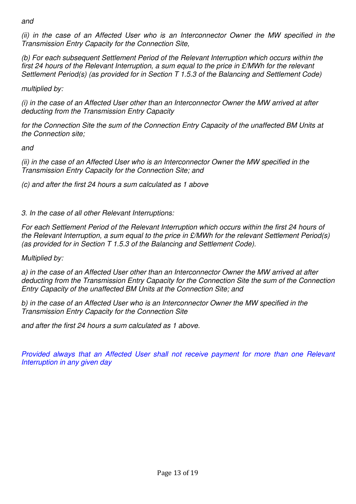and

(ii) in the case of an Affected User who is an Interconnector Owner the MW specified in the Transmission Entry Capacity for the Connection Site,

(b) For each subsequent Settlement Period of the Relevant Interruption which occurs within the first 24 hours of the Relevant Interruption, a sum equal to the price in £/MWh for the relevant Settlement Period(s) (as provided for in Section T 1.5.3 of the Balancing and Settlement Code)

multiplied by:

(i) in the case of an Affected User other than an Interconnector Owner the MW arrived at after deducting from the Transmission Entry Capacity

for the Connection Site the sum of the Connection Entry Capacity of the unaffected BM Units at the Connection site;

and

(ii) in the case of an Affected User who is an Interconnector Owner the MW specified in the Transmission Entry Capacity for the Connection Site; and

(c) and after the first 24 hours a sum calculated as 1 above

3. In the case of all other Relevant Interruptions:

For each Settlement Period of the Relevant Interruption which occurs within the first 24 hours of the Relevant Interruption, a sum equal to the price in  $\mathcal{L}/MWh$  for the relevant Settlement Period(s) (as provided for in Section T 1.5.3 of the Balancing and Settlement Code).

# Multiplied by:

a) in the case of an Affected User other than an Interconnector Owner the MW arrived at after deducting from the Transmission Entry Capacity for the Connection Site the sum of the Connection Entry Capacity of the unaffected BM Units at the Connection Site; and

b) in the case of an Affected User who is an Interconnector Owner the MW specified in the Transmission Entry Capacity for the Connection Site

and after the first 24 hours a sum calculated as 1 above.

Provided always that an Affected User shall not receive payment for more than one Relevant Interruption in any given day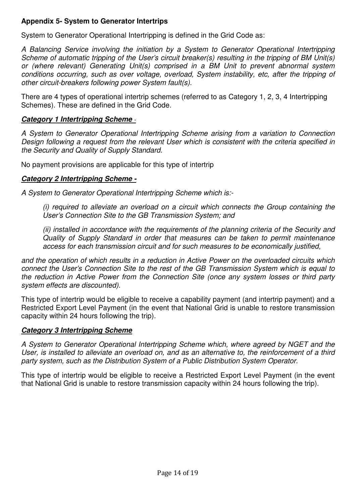# **Appendix 5- System to Generator Intertrips**

System to Generator Operational Intertripping is defined in the Grid Code as:

A Balancing Service involving the initiation by a System to Generator Operational Intertripping Scheme of automatic tripping of the User's circuit breaker(s) resulting in the tripping of BM Unit(s) or (where relevant) Generating Unit(s) comprised in a BM Unit to prevent abnormal system conditions occurring, such as over voltage, overload, System instability, etc, after the tripping of other circuit-breakers following power System fault(s).

There are 4 types of operational intertrip schemes (referred to as Category 1, 2, 3, 4 Intertripping Schemes). These are defined in the Grid Code.

# **Category 1 Intertripping Scheme** -

A System to Generator Operational Intertripping Scheme arising from a variation to Connection Design following a request from the relevant User which is consistent with the criteria specified in the Security and Quality of Supply Standard.

No payment provisions are applicable for this type of intertrip

# **Category 2 Intertripping Scheme -**

A System to Generator Operational Intertripping Scheme which is:-

(i) required to alleviate an overload on a circuit which connects the Group containing the User's Connection Site to the GB Transmission System; and

(ii) installed in accordance with the requirements of the planning criteria of the Security and Quality of Supply Standard in order that measures can be taken to permit maintenance access for each transmission circuit and for such measures to be economically justified,

and the operation of which results in a reduction in Active Power on the overloaded circuits which connect the User's Connection Site to the rest of the GB Transmission System which is equal to the reduction in Active Power from the Connection Site (once any system losses or third party system effects are discounted).

This type of intertrip would be eligible to receive a capability payment (and intertrip payment) and a Restricted Export Level Payment (in the event that National Grid is unable to restore transmission capacity within 24 hours following the trip).

# **Category 3 Intertripping Scheme**

A System to Generator Operational Intertripping Scheme which, where agreed by NGET and the User, is installed to alleviate an overload on, and as an alternative to, the reinforcement of a third party system, such as the Distribution System of a Public Distribution System Operator.

This type of intertrip would be eligible to receive a Restricted Export Level Payment (in the event that National Grid is unable to restore transmission capacity within 24 hours following the trip).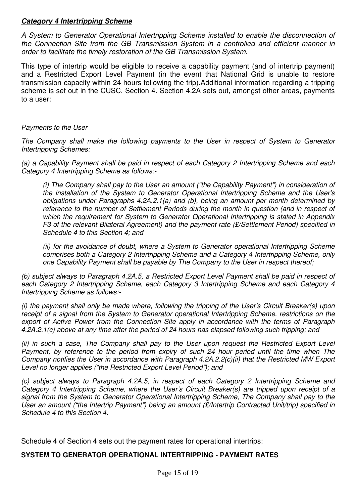# **Category 4 Intertripping Scheme**

A System to Generator Operational Intertripping Scheme installed to enable the disconnection of the Connection Site from the GB Transmission System in a controlled and efficient manner in order to facilitate the timely restoration of the GB Transmission System.

This type of intertrip would be eligible to receive a capability payment (and of intertrip payment) and a Restricted Export Level Payment (in the event that National Grid is unable to restore transmission capacity within 24 hours following the trip).Additional information regarding a tripping scheme is set out in the CUSC, Section 4. Section 4.2A sets out, amongst other areas, payments to a user:

#### Payments to the User

The Company shall make the following payments to the User in respect of System to Generator Intertripping Schemes:

(a) a Capability Payment shall be paid in respect of each Category 2 Intertripping Scheme and each Category 4 Intertripping Scheme as follows:-

(i) The Company shall pay to the User an amount ("the Capability Payment") in consideration of the installation of the System to Generator Operational Intertripping Scheme and the User's obligations under Paragraphs 4.2A.2.1(a) and (b), being an amount per month determined by reference to the number of Settlement Periods during the month in question (and in respect of which the requirement for System to Generator Operational Intertripping is stated in Appendix F3 of the relevant Bilateral Agreement) and the payment rate (£/Settlement Period) specified in Schedule 4 to this Section 4; and

(ii) for the avoidance of doubt, where a System to Generator operational Intertripping Scheme comprises both a Category 2 Intertripping Scheme and a Category 4 Intertripping Scheme, only one Capability Payment shall be payable by The Company to the User in respect thereof;

(b) subject always to Paragraph 4.2A.5, a Restricted Export Level Payment shall be paid in respect of each Category 2 Intertripping Scheme, each Category 3 Intertripping Scheme and each Category 4 Intertripping Scheme as follows:-

(i) the payment shall only be made where, following the tripping of the User's Circuit Breaker(s) upon receipt of a signal from the System to Generator operational Intertripping Scheme, restrictions on the export of Active Power from the Connection Site apply in accordance with the terms of Paragraph 4.2A.2.1(c) above at any time after the period of 24 hours has elapsed following such tripping; and

(ii) in such a case, The Company shall pay to the User upon request the Restricted Export Level Payment, by reference to the period from expiry of such 24 hour period until the time when The Company notifies the User in accordance with Paragraph 4.2A.2.2(c)(ii) that the Restricted MW Export Level no longer applies ("the Restricted Export Level Period"); and

(c) subject always to Paragraph 4.2A.5, in respect of each Category 2 Intertripping Scheme and Category 4 Intertripping Scheme, where the User's Circuit Breaker(s) are tripped upon receipt of a signal from the System to Generator Operational Intertripping Scheme, The Company shall pay to the User an amount ("the Intertrip Payment") being an amount (£/Intertrip Contracted Unit/trip) specified in Schedule 4 to this Section 4.

Schedule 4 of Section 4 sets out the payment rates for operational intertrips:

#### **SYSTEM TO GENERATOR OPERATIONAL INTERTRIPPING - PAYMENT RATES**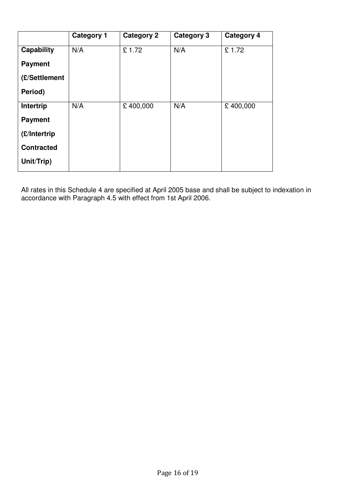|                   | <b>Category 1</b> | <b>Category 2</b> | Category 3 | <b>Category 4</b> |
|-------------------|-------------------|-------------------|------------|-------------------|
| Capability        | N/A               | £1.72             | N/A        | £1.72             |
| <b>Payment</b>    |                   |                   |            |                   |
| (£/Settlement     |                   |                   |            |                   |
| Period)           |                   |                   |            |                   |
| Intertrip         | N/A               | £400,000          | N/A        | £400,000          |
| <b>Payment</b>    |                   |                   |            |                   |
| (£/Intertrip      |                   |                   |            |                   |
| <b>Contracted</b> |                   |                   |            |                   |
| Unit/Trip)        |                   |                   |            |                   |

All rates in this Schedule 4 are specified at April 2005 base and shall be subject to indexation in accordance with Paragraph 4.5 with effect from 1st April 2006.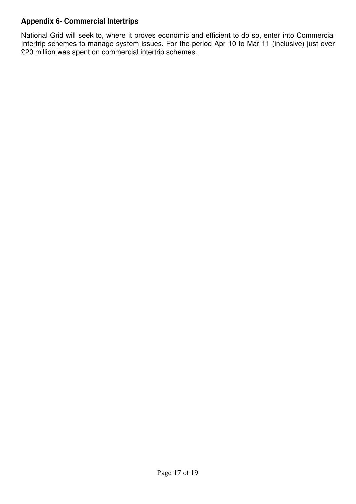# **Appendix 6- Commercial Intertrips**

National Grid will seek to, where it proves economic and efficient to do so, enter into Commercial Intertrip schemes to manage system issues. For the period Apr-10 to Mar-11 (inclusive) just over £20 million was spent on commercial intertrip schemes.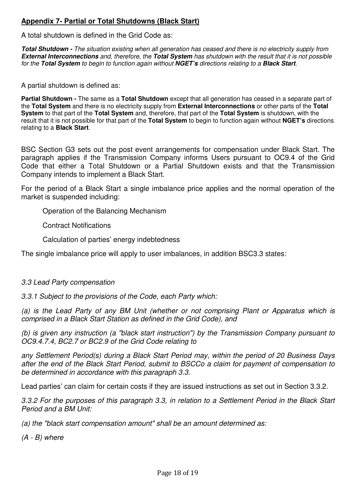# **Appendix 7- Partial or Total Shutdowns (Black Start)**

A total shutdown is defined in the Grid Code as:

**Total Shutdown -** The situation existing when all generation has ceased and there is no electricity supply from **External Interconnections** and, therefore, the **Total System** has shutdown with the result that it is not possible for the **Total System** to begin to function again without **NGET's** directions relating to a **Black Start**.

A partial shutdown is defined as:

**Partial Shutdown -** The same as a **Total Shutdown** except that all generation has ceased in a separate part of the **Total System** and there is no electricity supply from **External Interconnections** or other parts of the **Total System** to that part of the **Total System** and, therefore, that part of the **Total System** is shutdown, with the result that it is not possible for that part of the **Total System** to begin to function again without **NGET's** directions relating to a **Black Start**.

BSC Section G3 sets out the post event arrangements for compensation under Black Start. The paragraph applies if the Transmission Company informs Users pursuant to OC9.4 of the Grid Code that either a Total Shutdown or a Partial Shutdown exists and that the Transmission Company intends to implement a Black Start.

For the period of a Black Start a single imbalance price applies and the normal operation of the market is suspended including:

Operation of the Balancing Mechanism

Contract Notifications

Calculation of parties' energy indebtedness

The single imbalance price will apply to user imbalances, in addition BSC3.3 states:

#### 3.3 Lead Party compensation

3.3.1 Subject to the provisions of the Code, each Party which:

(a) is the Lead Party of any BM Unit (whether or not comprising Plant or Apparatus which is comprised in a Black Start Station as defined in the Grid Code), and

(b) is given any instruction (a "black start instruction") by the Transmission Company pursuant to OC9.4.7.4, BC2.7 or BC2.9 of the Grid Code relating to

any Settlement Period(s) during a Black Start Period may, within the period of 20 Business Days after the end of the Black Start Period, submit to BSCCo a claim for payment of compensation to be determined in accordance with this paragraph 3.3.

Lead parties' can claim for certain costs if they are issued instructions as set out in Section 3.3.2.

3.3.2 For the purposes of this paragraph 3.3, in relation to a Settlement Period in the Black Start Period and a BM Unit:

(a) the "black start compensation amount" shall be an amount determined as:

(A - B) where